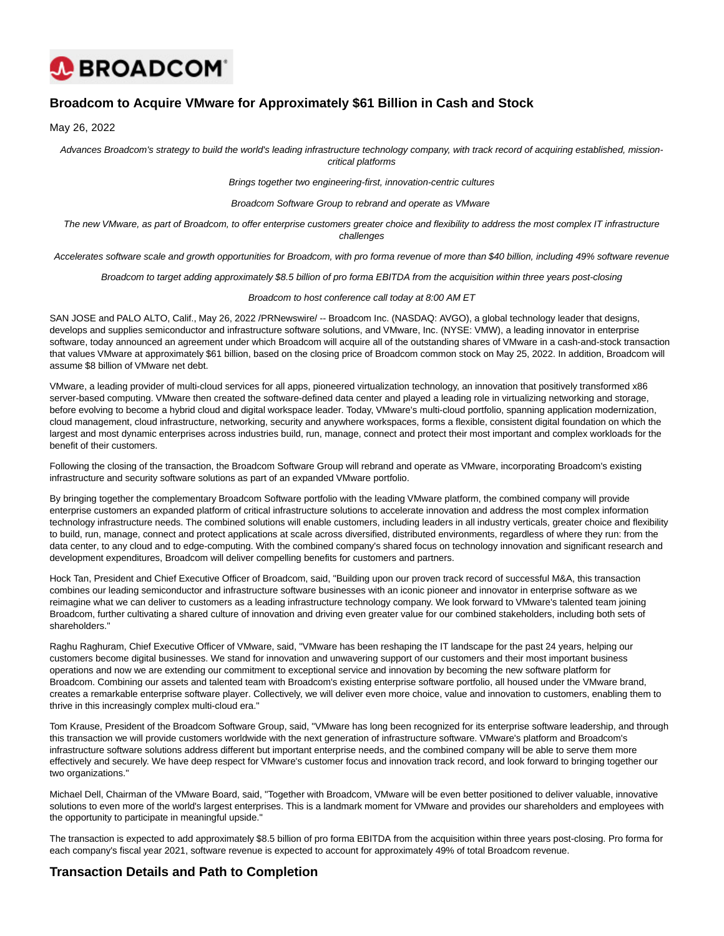

# **Broadcom to Acquire VMware for Approximately \$61 Billion in Cash and Stock**

May 26, 2022

Advances Broadcom's strategy to build the world's leading infrastructure technology company, with track record of acquiring established, missioncritical platforms

Brings together two engineering-first, innovation-centric cultures

Broadcom Software Group to rebrand and operate as VMware

The new VMware, as part of Broadcom, to offer enterprise customers greater choice and flexibility to address the most complex IT infrastructure challenges

Accelerates software scale and growth opportunities for Broadcom, with pro forma revenue of more than \$40 billion, including 49% software revenue

Broadcom to target adding approximately \$8.5 billion of pro forma EBITDA from the acquisition within three years post-closing

#### Broadcom to host conference call today at 8:00 AM ET

SAN JOSE and PALO ALTO, Calif., May 26, 2022 /PRNewswire/ -- Broadcom Inc. (NASDAQ: AVGO), a global technology leader that designs, develops and supplies semiconductor and infrastructure software solutions, and VMware, Inc. (NYSE: VMW), a leading innovator in enterprise software, today announced an agreement under which Broadcom will acquire all of the outstanding shares of VMware in a cash-and-stock transaction that values VMware at approximately \$61 billion, based on the closing price of Broadcom common stock on May 25, 2022. In addition, Broadcom will assume \$8 billion of VMware net debt.

VMware, a leading provider of multi-cloud services for all apps, pioneered virtualization technology, an innovation that positively transformed x86 server-based computing. VMware then created the software-defined data center and played a leading role in virtualizing networking and storage, before evolving to become a hybrid cloud and digital workspace leader. Today, VMware's multi-cloud portfolio, spanning application modernization, cloud management, cloud infrastructure, networking, security and anywhere workspaces, forms a flexible, consistent digital foundation on which the largest and most dynamic enterprises across industries build, run, manage, connect and protect their most important and complex workloads for the benefit of their customers.

Following the closing of the transaction, the Broadcom Software Group will rebrand and operate as VMware, incorporating Broadcom's existing infrastructure and security software solutions as part of an expanded VMware portfolio.

By bringing together the complementary Broadcom Software portfolio with the leading VMware platform, the combined company will provide enterprise customers an expanded platform of critical infrastructure solutions to accelerate innovation and address the most complex information technology infrastructure needs. The combined solutions will enable customers, including leaders in all industry verticals, greater choice and flexibility to build, run, manage, connect and protect applications at scale across diversified, distributed environments, regardless of where they run: from the data center, to any cloud and to edge-computing. With the combined company's shared focus on technology innovation and significant research and development expenditures, Broadcom will deliver compelling benefits for customers and partners.

Hock Tan, President and Chief Executive Officer of Broadcom, said, "Building upon our proven track record of successful M&A, this transaction combines our leading semiconductor and infrastructure software businesses with an iconic pioneer and innovator in enterprise software as we reimagine what we can deliver to customers as a leading infrastructure technology company. We look forward to VMware's talented team joining Broadcom, further cultivating a shared culture of innovation and driving even greater value for our combined stakeholders, including both sets of shareholders."

Raghu Raghuram, Chief Executive Officer of VMware, said, "VMware has been reshaping the IT landscape for the past 24 years, helping our customers become digital businesses. We stand for innovation and unwavering support of our customers and their most important business operations and now we are extending our commitment to exceptional service and innovation by becoming the new software platform for Broadcom. Combining our assets and talented team with Broadcom's existing enterprise software portfolio, all housed under the VMware brand, creates a remarkable enterprise software player. Collectively, we will deliver even more choice, value and innovation to customers, enabling them to thrive in this increasingly complex multi-cloud era."

Tom Krause, President of the Broadcom Software Group, said, "VMware has long been recognized for its enterprise software leadership, and through this transaction we will provide customers worldwide with the next generation of infrastructure software. VMware's platform and Broadcom's infrastructure software solutions address different but important enterprise needs, and the combined company will be able to serve them more effectively and securely. We have deep respect for VMware's customer focus and innovation track record, and look forward to bringing together our two organizations."

Michael Dell, Chairman of the VMware Board, said, "Together with Broadcom, VMware will be even better positioned to deliver valuable, innovative solutions to even more of the world's largest enterprises. This is a landmark moment for VMware and provides our shareholders and employees with the opportunity to participate in meaningful upside."

The transaction is expected to add approximately \$8.5 billion of pro forma EBITDA from the acquisition within three years post-closing. Pro forma for each company's fiscal year 2021, software revenue is expected to account for approximately 49% of total Broadcom revenue.

# **Transaction Details and Path to Completion**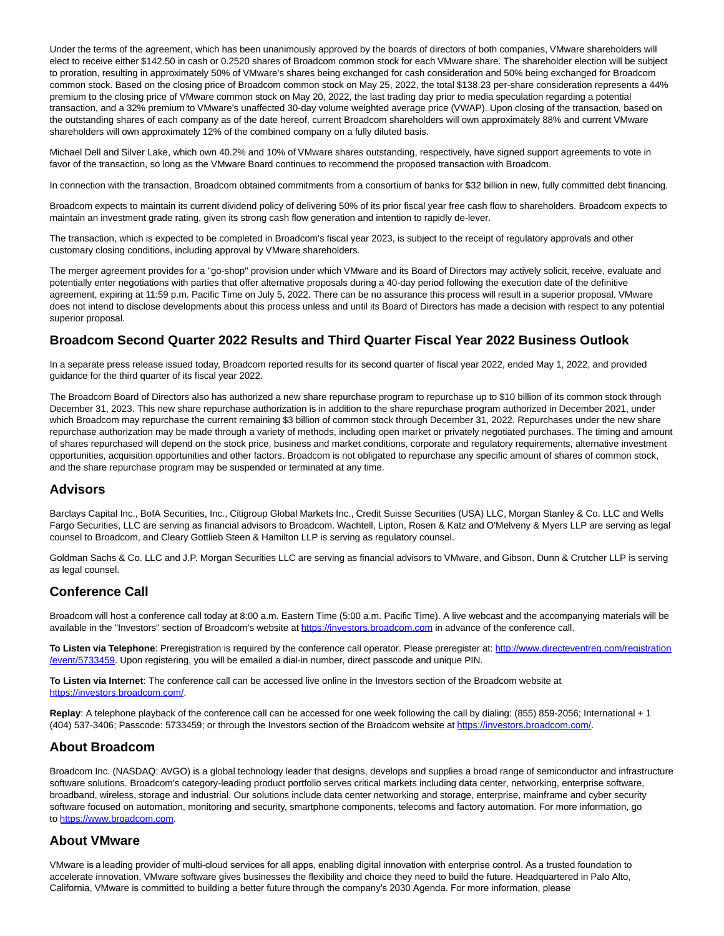Under the terms of the agreement, which has been unanimously approved by the boards of directors of both companies, VMware shareholders will elect to receive either \$142.50 in cash or 0.2520 shares of Broadcom common stock for each VMware share. The shareholder election will be subject to proration, resulting in approximately 50% of VMware's shares being exchanged for cash consideration and 50% being exchanged for Broadcom common stock. Based on the closing price of Broadcom common stock on May 25, 2022, the total \$138.23 per-share consideration represents a 44% premium to the closing price of VMware common stock on May 20, 2022, the last trading day prior to media speculation regarding a potential transaction, and a 32% premium to VMware's unaffected 30-day volume weighted average price (VWAP). Upon closing of the transaction, based on the outstanding shares of each company as of the date hereof, current Broadcom shareholders will own approximately 88% and current VMware shareholders will own approximately 12% of the combined company on a fully diluted basis.

Michael Dell and Silver Lake, which own 40.2% and 10% of VMware shares outstanding, respectively, have signed support agreements to vote in favor of the transaction, so long as the VMware Board continues to recommend the proposed transaction with Broadcom.

In connection with the transaction, Broadcom obtained commitments from a consortium of banks for \$32 billion in new, fully committed debt financing.

Broadcom expects to maintain its current dividend policy of delivering 50% of its prior fiscal year free cash flow to shareholders. Broadcom expects to maintain an investment grade rating, given its strong cash flow generation and intention to rapidly de-lever.

The transaction, which is expected to be completed in Broadcom's fiscal year 2023, is subject to the receipt of regulatory approvals and other customary closing conditions, including approval by VMware shareholders.

The merger agreement provides for a "go-shop" provision under which VMware and its Board of Directors may actively solicit, receive, evaluate and potentially enter negotiations with parties that offer alternative proposals during a 40-day period following the execution date of the definitive agreement, expiring at 11:59 p.m. Pacific Time on July 5, 2022. There can be no assurance this process will result in a superior proposal. VMware does not intend to disclose developments about this process unless and until its Board of Directors has made a decision with respect to any potential superior proposal.

# **Broadcom Second Quarter 2022 Results and Third Quarter Fiscal Year 2022 Business Outlook**

In a separate press release issued today, Broadcom reported results for its second quarter of fiscal year 2022, ended May 1, 2022, and provided guidance for the third quarter of its fiscal year 2022.

The Broadcom Board of Directors also has authorized a new share repurchase program to repurchase up to \$10 billion of its common stock through December 31, 2023. This new share repurchase authorization is in addition to the share repurchase program authorized in December 2021, under which Broadcom may repurchase the current remaining \$3 billion of common stock through December 31, 2022. Repurchases under the new share repurchase authorization may be made through a variety of methods, including open market or privately negotiated purchases. The timing and amount of shares repurchased will depend on the stock price, business and market conditions, corporate and regulatory requirements, alternative investment opportunities, acquisition opportunities and other factors. Broadcom is not obligated to repurchase any specific amount of shares of common stock, and the share repurchase program may be suspended or terminated at any time.

### **Advisors**

Barclays Capital Inc., BofA Securities, Inc., Citigroup Global Markets Inc., Credit Suisse Securities (USA) LLC, Morgan Stanley & Co. LLC and Wells Fargo Securities, LLC are serving as financial advisors to Broadcom. Wachtell, Lipton, Rosen & Katz and O'Melveny & Myers LLP are serving as legal counsel to Broadcom, and Cleary Gottlieb Steen & Hamilton LLP is serving as regulatory counsel.

Goldman Sachs & Co. LLC and J.P. Morgan Securities LLC are serving as financial advisors to VMware, and Gibson, Dunn & Crutcher LLP is serving as legal counsel.

### **Conference Call**

Broadcom will host a conference call today at 8:00 a.m. Eastern Time (5:00 a.m. Pacific Time). A live webcast and the accompanying materials will be available in the "Investors" section of Broadcom's website at [https://investors.broadcom.com i](https://c212.net/c/link/?t=0&l=en&o=3549191-1&h=1227585553&u=https%3A%2F%2Finvestors.broadcom.com%2F&a=https%3A%2F%2Finvestors.broadcom.com)n advance of the conference call.

**To Listen via Telephone**: Preregistration is required by the conference call operator. Please preregister at[: http://www.directeventreg.com/registration](https://c212.net/c/link/?t=0&l=en&o=3549191-1&h=2190727191&u=http%3A%2F%2Fwww.directeventreg.com%2Fregistration%2Fevent%2F5733459&a=http%3A%2F%2Fwww.directeventreg.com%2Fregistration%2Fevent%2F5733459) /event/5733459. Upon registering, you will be emailed a dial-in number, direct passcode and unique PIN.

**To Listen via Internet**: The conference call can be accessed live online in the Investors section of the Broadcom website at [https://investors.broadcom.com/.](https://c212.net/c/link/?t=0&l=en&o=3549191-1&h=2511630267&u=https%3A%2F%2Finvestors.broadcom.com%2F&a=https%3A%2F%2Finvestors.broadcom.com%2F)

**Replay**: A telephone playback of the conference call can be accessed for one week following the call by dialing: (855) 859-2056; International + 1 (404) 537-3406; Passcode: 5733459; or through the Investors section of the Broadcom website at [https://investors.broadcom.com/.](https://c212.net/c/link/?t=0&l=en&o=3549191-1&h=2511630267&u=https%3A%2F%2Finvestors.broadcom.com%2F&a=https%3A%2F%2Finvestors.broadcom.com%2F)

### **About Broadcom**

Broadcom Inc. (NASDAQ: AVGO) is a global technology leader that designs, develops and supplies a broad range of semiconductor and infrastructure software solutions. Broadcom's category-leading product portfolio serves critical markets including data center, networking, enterprise software, broadband, wireless, storage and industrial. Our solutions include data center networking and storage, enterprise, mainframe and cyber security software focused on automation, monitoring and security, smartphone components, telecoms and factory automation. For more information, go to [https://www.broadcom.com.](https://c212.net/c/link/?t=0&l=en&o=3549191-1&h=627671404&u=https%3A%2F%2Fc212.net%2Fc%2Flink%2F%3Ft%3D0%26l%3Den%26o%3D3521997-1%26h%3D3166177221%26u%3Dhttps%253A%252F%252Fc212.net%252Fc%252Flink%252F%253Ft%253D0%2526l%253Den%2526o%253D3310850-1%2526h%253D212996831%2526u%253Dhttps%25253A%25252F%25252Fc212.net%25252Fc%25252Flink%25252F%25253Ft%25253D0%252526l%25253Den%252526o%25253D3278067-1%252526h%25253D3816095707%252526u%25253Dhttps%2525253A%2525252F%2525252Fwww.broadcom.com%2525252F%252526a%25253Dhttps%2525253A%2525252F%2525252Fwww.broadcom.com%2526a%253Dhttps%25253A%25252F%25252Fwww.broadcom.com%26a%3Dhttps%253A%252F%252Fwww.broadcom.com&a=https%3A%2F%2Fwww.broadcom.com)

### **About VMware**

VMware is a leading provider of multi-cloud services for all apps, enabling digital innovation with enterprise control. As a trusted foundation to accelerate innovation, VMware software gives businesses the flexibility and choice they need to build the future. Headquartered in Palo Alto, California, VMware is committed to building a better future through the company's 2030 Agenda. For more information, please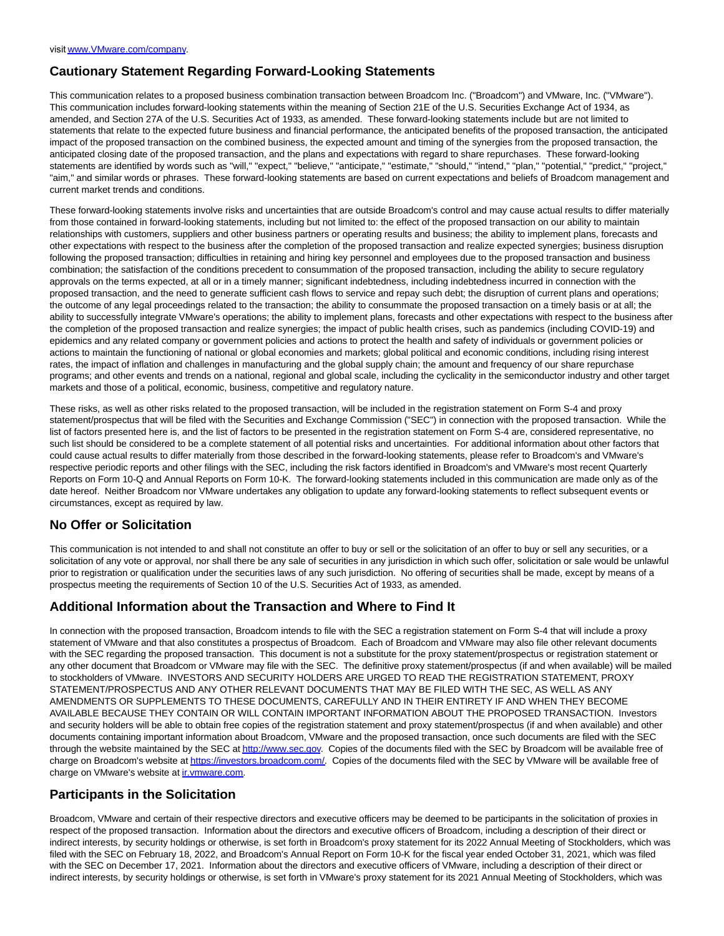# **Cautionary Statement Regarding Forward-Looking Statements**

This communication relates to a proposed business combination transaction between Broadcom Inc. ("Broadcom") and VMware, Inc. ("VMware"). This communication includes forward-looking statements within the meaning of Section 21E of the U.S. Securities Exchange Act of 1934, as amended, and Section 27A of the U.S. Securities Act of 1933, as amended. These forward-looking statements include but are not limited to statements that relate to the expected future business and financial performance, the anticipated benefits of the proposed transaction, the anticipated impact of the proposed transaction on the combined business, the expected amount and timing of the synergies from the proposed transaction, the anticipated closing date of the proposed transaction, and the plans and expectations with regard to share repurchases. These forward-looking statements are identified by words such as "will," "expect," "believe," "anticipate," "estimate," "should," "intend," "plan," "potential," "predict," "project," "aim," and similar words or phrases. These forward-looking statements are based on current expectations and beliefs of Broadcom management and current market trends and conditions.

These forward-looking statements involve risks and uncertainties that are outside Broadcom's control and may cause actual results to differ materially from those contained in forward-looking statements, including but not limited to: the effect of the proposed transaction on our ability to maintain relationships with customers, suppliers and other business partners or operating results and business; the ability to implement plans, forecasts and other expectations with respect to the business after the completion of the proposed transaction and realize expected synergies; business disruption following the proposed transaction; difficulties in retaining and hiring key personnel and employees due to the proposed transaction and business combination; the satisfaction of the conditions precedent to consummation of the proposed transaction, including the ability to secure regulatory approvals on the terms expected, at all or in a timely manner; significant indebtedness, including indebtedness incurred in connection with the proposed transaction, and the need to generate sufficient cash flows to service and repay such debt; the disruption of current plans and operations; the outcome of any legal proceedings related to the transaction; the ability to consummate the proposed transaction on a timely basis or at all; the ability to successfully integrate VMware's operations; the ability to implement plans, forecasts and other expectations with respect to the business after the completion of the proposed transaction and realize synergies; the impact of public health crises, such as pandemics (including COVID-19) and epidemics and any related company or government policies and actions to protect the health and safety of individuals or government policies or actions to maintain the functioning of national or global economies and markets; global political and economic conditions, including rising interest rates, the impact of inflation and challenges in manufacturing and the global supply chain; the amount and frequency of our share repurchase programs; and other events and trends on a national, regional and global scale, including the cyclicality in the semiconductor industry and other target markets and those of a political, economic, business, competitive and regulatory nature.

These risks, as well as other risks related to the proposed transaction, will be included in the registration statement on Form S-4 and proxy statement/prospectus that will be filed with the Securities and Exchange Commission ("SEC") in connection with the proposed transaction. While the list of factors presented here is, and the list of factors to be presented in the registration statement on Form S-4 are, considered representative, no such list should be considered to be a complete statement of all potential risks and uncertainties. For additional information about other factors that could cause actual results to differ materially from those described in the forward-looking statements, please refer to Broadcom's and VMware's respective periodic reports and other filings with the SEC, including the risk factors identified in Broadcom's and VMware's most recent Quarterly Reports on Form 10-Q and Annual Reports on Form 10-K. The forward-looking statements included in this communication are made only as of the date hereof. Neither Broadcom nor VMware undertakes any obligation to update any forward-looking statements to reflect subsequent events or circumstances, except as required by law.

# **No Offer or Solicitation**

This communication is not intended to and shall not constitute an offer to buy or sell or the solicitation of an offer to buy or sell any securities, or a solicitation of any vote or approval, nor shall there be any sale of securities in any jurisdiction in which such offer, solicitation or sale would be unlawful prior to registration or qualification under the securities laws of any such jurisdiction. No offering of securities shall be made, except by means of a prospectus meeting the requirements of Section 10 of the U.S. Securities Act of 1933, as amended.

# **Additional Information about the Transaction and Where to Find It**

In connection with the proposed transaction, Broadcom intends to file with the SEC a registration statement on Form S-4 that will include a proxy statement of VMware and that also constitutes a prospectus of Broadcom. Each of Broadcom and VMware may also file other relevant documents with the SEC regarding the proposed transaction. This document is not a substitute for the proxy statement/prospectus or registration statement or any other document that Broadcom or VMware may file with the SEC. The definitive proxy statement/prospectus (if and when available) will be mailed to stockholders of VMware. INVESTORS AND SECURITY HOLDERS ARE URGED TO READ THE REGISTRATION STATEMENT, PROXY STATEMENT/PROSPECTUS AND ANY OTHER RELEVANT DOCUMENTS THAT MAY BE FILED WITH THE SEC, AS WELL AS ANY AMENDMENTS OR SUPPLEMENTS TO THESE DOCUMENTS, CAREFULLY AND IN THEIR ENTIRETY IF AND WHEN THEY BECOME AVAILABLE BECAUSE THEY CONTAIN OR WILL CONTAIN IMPORTANT INFORMATION ABOUT THE PROPOSED TRANSACTION. Investors and security holders will be able to obtain free copies of the registration statement and proxy statement/prospectus (if and when available) and other documents containing important information about Broadcom, VMware and the proposed transaction, once such documents are filed with the SEC through the website maintained by the SEC a[t http://www.sec.gov.](http://www.sec.gov/) Copies of the documents filed with the SEC by Broadcom will be available free of charge on Broadcom's website a[t https://investors.broadcom.com/.](https://investors.broadcom.com/) Copies of the documents filed with the SEC by VMware will be available free of charge on VMware's website at in.vmware.com.

# **Participants in the Solicitation**

Broadcom, VMware and certain of their respective directors and executive officers may be deemed to be participants in the solicitation of proxies in respect of the proposed transaction. Information about the directors and executive officers of Broadcom, including a description of their direct or indirect interests, by security holdings or otherwise, is set forth in Broadcom's proxy statement for its 2022 Annual Meeting of Stockholders, which was filed with the SEC on February 18, 2022, and Broadcom's Annual Report on Form 10-K for the fiscal year ended October 31, 2021, which was filed with the SEC on December 17, 2021. Information about the directors and executive officers of VMware, including a description of their direct or indirect interests, by security holdings or otherwise, is set forth in VMware's proxy statement for its 2021 Annual Meeting of Stockholders, which was